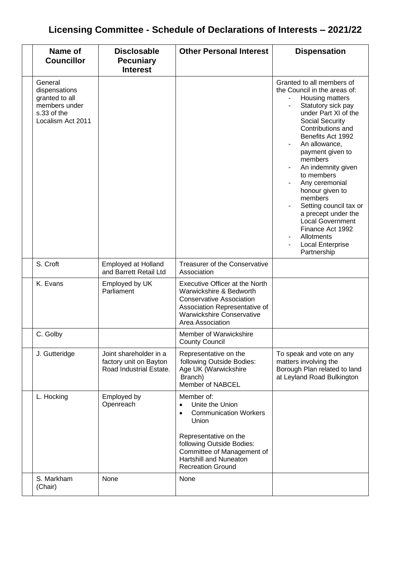## **Licensing Committee - Schedule of Declarations of Interests – 2021/22**

| Name of<br><b>Councillor</b>                                                                    | <b>Disclosable</b><br><b>Pecuniary</b><br><b>Interest</b>                   | <b>Other Personal Interest</b>                                                                                                                                                                                                             | <b>Dispensation</b>                                                                                                                                                                                                                                                                                                                                                                                                                                                          |
|-------------------------------------------------------------------------------------------------|-----------------------------------------------------------------------------|--------------------------------------------------------------------------------------------------------------------------------------------------------------------------------------------------------------------------------------------|------------------------------------------------------------------------------------------------------------------------------------------------------------------------------------------------------------------------------------------------------------------------------------------------------------------------------------------------------------------------------------------------------------------------------------------------------------------------------|
| General<br>dispensations<br>granted to all<br>members under<br>s.33 of the<br>Localism Act 2011 |                                                                             |                                                                                                                                                                                                                                            | Granted to all members of<br>the Council in the areas of:<br>Housing matters<br>Statutory sick pay<br>under Part XI of the<br>Social Security<br>Contributions and<br>Benefits Act 1992<br>An allowance,<br>payment given to<br>members<br>An indemnity given<br>to members<br>Any ceremonial<br>honour given to<br>members<br>Setting council tax or<br>a precept under the<br><b>Local Government</b><br>Finance Act 1992<br>Allotments<br>Local Enterprise<br>Partnership |
| S. Croft                                                                                        | <b>Employed at Holland</b><br>and Barrett Retail Ltd                        | Treasurer of the Conservative<br>Association                                                                                                                                                                                               |                                                                                                                                                                                                                                                                                                                                                                                                                                                                              |
| K. Evans                                                                                        | Employed by UK<br>Parliament                                                | <b>Executive Officer at the North</b><br>Warwickshire & Bedworth<br><b>Conservative Association</b><br>Association Representative of<br><b>Warwickshire Conservative</b><br>Area Association                                               |                                                                                                                                                                                                                                                                                                                                                                                                                                                                              |
| C. Golby                                                                                        |                                                                             | Member of Warwickshire<br><b>County Council</b>                                                                                                                                                                                            |                                                                                                                                                                                                                                                                                                                                                                                                                                                                              |
| J. Gutteridge                                                                                   | Joint shareholder in a<br>factory unit on Bayton<br>Road Industrial Estate. | Representative on the<br>following Outside Bodies:<br>Age UK (Warwickshire<br>Branch)<br>Member of NABCEL                                                                                                                                  | To speak and vote on any<br>matters involving the<br>Borough Plan related to land<br>at Leyland Road Bulkington                                                                                                                                                                                                                                                                                                                                                              |
| L. Hocking                                                                                      | Employed by<br>Openreach                                                    | Member of:<br>Unite the Union<br>$\bullet$<br><b>Communication Workers</b><br>$\bullet$<br>Union<br>Representative on the<br>following Outside Bodies:<br>Committee of Management of<br>Hartshill and Nuneaton<br><b>Recreation Ground</b> |                                                                                                                                                                                                                                                                                                                                                                                                                                                                              |
| S. Markham<br>(Chair)                                                                           | None                                                                        | None                                                                                                                                                                                                                                       |                                                                                                                                                                                                                                                                                                                                                                                                                                                                              |